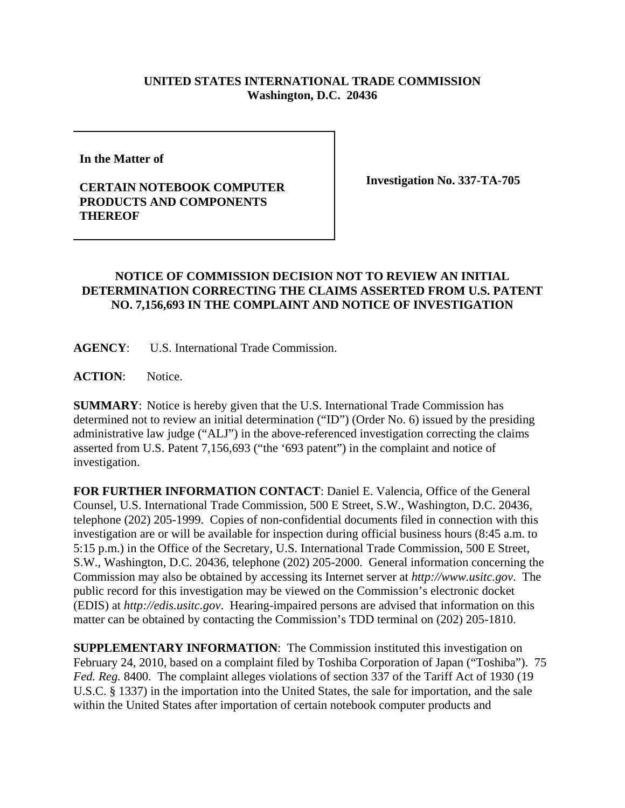## **UNITED STATES INTERNATIONAL TRADE COMMISSION Washington, D.C. 20436**

**In the Matter of** 

## **CERTAIN NOTEBOOK COMPUTER PRODUCTS AND COMPONENTS THEREOF**

**Investigation No. 337-TA-705**

## **NOTICE OF COMMISSION DECISION NOT TO REVIEW AN INITIAL DETERMINATION CORRECTING THE CLAIMS ASSERTED FROM U.S. PATENT NO. 7,156,693 IN THE COMPLAINT AND NOTICE OF INVESTIGATION**

**AGENCY**: U.S. International Trade Commission.

ACTION: Notice.

**SUMMARY**: Notice is hereby given that the U.S. International Trade Commission has determined not to review an initial determination ("ID") (Order No. 6) issued by the presiding administrative law judge ("ALJ") in the above-referenced investigation correcting the claims asserted from U.S. Patent 7,156,693 ("the '693 patent") in the complaint and notice of investigation.

**FOR FURTHER INFORMATION CONTACT**: Daniel E. Valencia, Office of the General Counsel, U.S. International Trade Commission, 500 E Street, S.W., Washington, D.C. 20436, telephone (202) 205-1999. Copies of non-confidential documents filed in connection with this investigation are or will be available for inspection during official business hours (8:45 a.m. to 5:15 p.m.) in the Office of the Secretary, U.S. International Trade Commission, 500 E Street, S.W., Washington, D.C. 20436, telephone (202) 205-2000. General information concerning the Commission may also be obtained by accessing its Internet server at *http://www.usitc.gov*. The public record for this investigation may be viewed on the Commission's electronic docket (EDIS) at *http://edis.usitc.gov*. Hearing-impaired persons are advised that information on this matter can be obtained by contacting the Commission's TDD terminal on (202) 205-1810.

**SUPPLEMENTARY INFORMATION**: The Commission instituted this investigation on February 24, 2010, based on a complaint filed by Toshiba Corporation of Japan ("Toshiba"). 75 *Fed. Reg.* 8400. The complaint alleges violations of section 337 of the Tariff Act of 1930 (19 U.S.C. § 1337) in the importation into the United States, the sale for importation, and the sale within the United States after importation of certain notebook computer products and